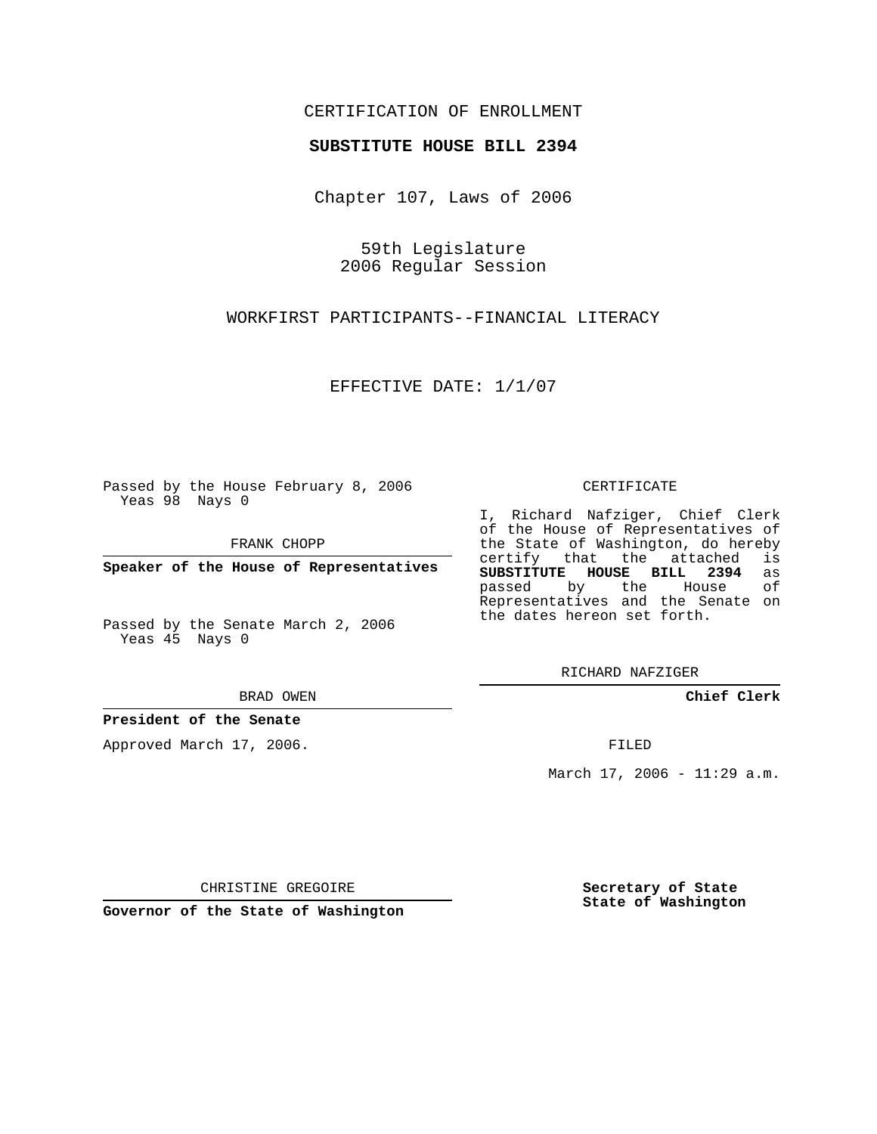## CERTIFICATION OF ENROLLMENT

### **SUBSTITUTE HOUSE BILL 2394**

Chapter 107, Laws of 2006

59th Legislature 2006 Regular Session

WORKFIRST PARTICIPANTS--FINANCIAL LITERACY

EFFECTIVE DATE: 1/1/07

Passed by the House February 8, 2006 Yeas 98 Nays 0

FRANK CHOPP

**Speaker of the House of Representatives**

Passed by the Senate March 2, 2006 Yeas 45 Nays 0

#### BRAD OWEN

### **President of the Senate**

Approved March 17, 2006.

#### CERTIFICATE

I, Richard Nafziger, Chief Clerk of the House of Representatives of the State of Washington, do hereby<br>certify that the attached is certify that the attached **SUBSTITUTE HOUSE BILL 2394** as passed by the House Representatives and the Senate on the dates hereon set forth.

RICHARD NAFZIGER

**Chief Clerk**

FILED

March 17, 2006 - 11:29 a.m.

CHRISTINE GREGOIRE

**Governor of the State of Washington**

**Secretary of State State of Washington**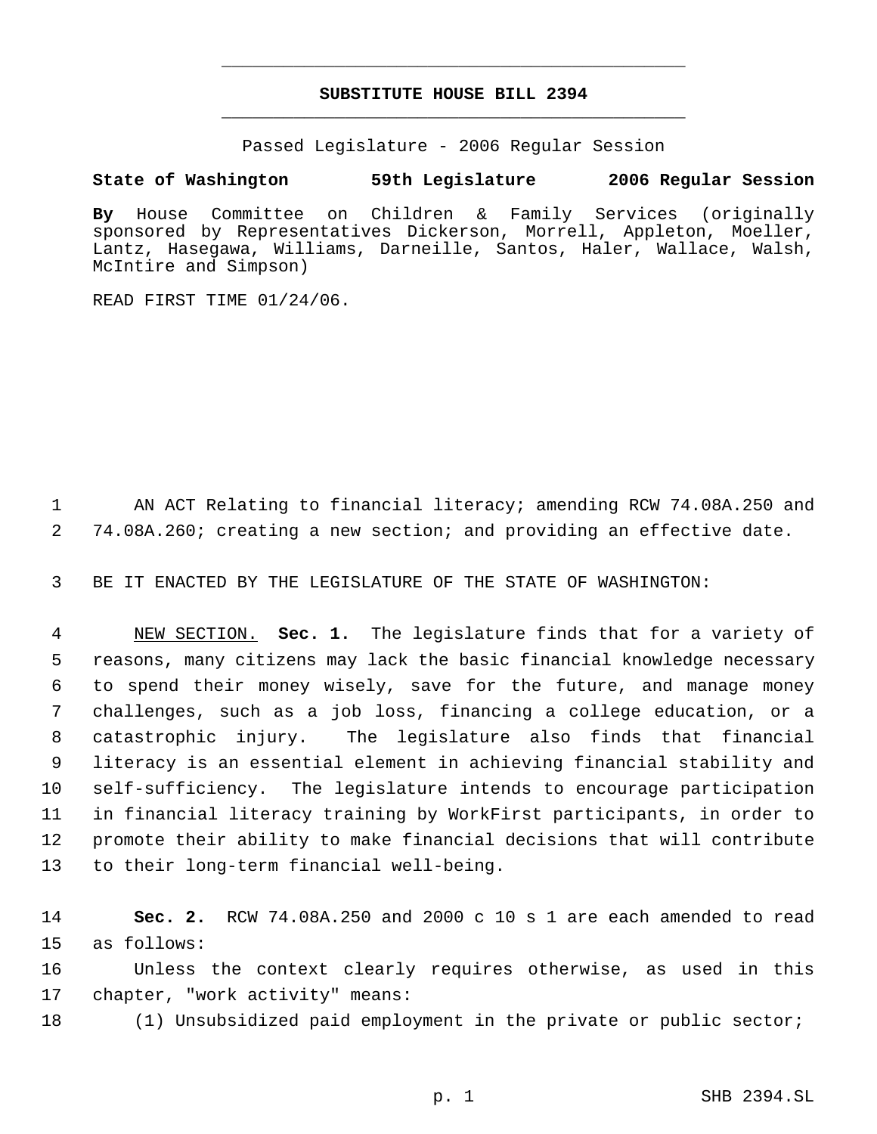# **SUBSTITUTE HOUSE BILL 2394** \_\_\_\_\_\_\_\_\_\_\_\_\_\_\_\_\_\_\_\_\_\_\_\_\_\_\_\_\_\_\_\_\_\_\_\_\_\_\_\_\_\_\_\_\_

\_\_\_\_\_\_\_\_\_\_\_\_\_\_\_\_\_\_\_\_\_\_\_\_\_\_\_\_\_\_\_\_\_\_\_\_\_\_\_\_\_\_\_\_\_

Passed Legislature - 2006 Regular Session

# **State of Washington 59th Legislature 2006 Regular Session**

**By** House Committee on Children & Family Services (originally sponsored by Representatives Dickerson, Morrell, Appleton, Moeller, Lantz, Hasegawa, Williams, Darneille, Santos, Haler, Wallace, Walsh, McIntire and Simpson)

READ FIRST TIME 01/24/06.

1 AN ACT Relating to financial literacy; amending RCW 74.08A.250 and 2 74.08A.260; creating a new section; and providing an effective date.

3 BE IT ENACTED BY THE LEGISLATURE OF THE STATE OF WASHINGTON:

 NEW SECTION. **Sec. 1.** The legislature finds that for a variety of reasons, many citizens may lack the basic financial knowledge necessary to spend their money wisely, save for the future, and manage money challenges, such as a job loss, financing a college education, or a catastrophic injury. The legislature also finds that financial literacy is an essential element in achieving financial stability and self-sufficiency. The legislature intends to encourage participation in financial literacy training by WorkFirst participants, in order to promote their ability to make financial decisions that will contribute to their long-term financial well-being.

14 **Sec. 2.** RCW 74.08A.250 and 2000 c 10 s 1 are each amended to read 15 as follows:

16 Unless the context clearly requires otherwise, as used in this 17 chapter, "work activity" means:

18 (1) Unsubsidized paid employment in the private or public sector;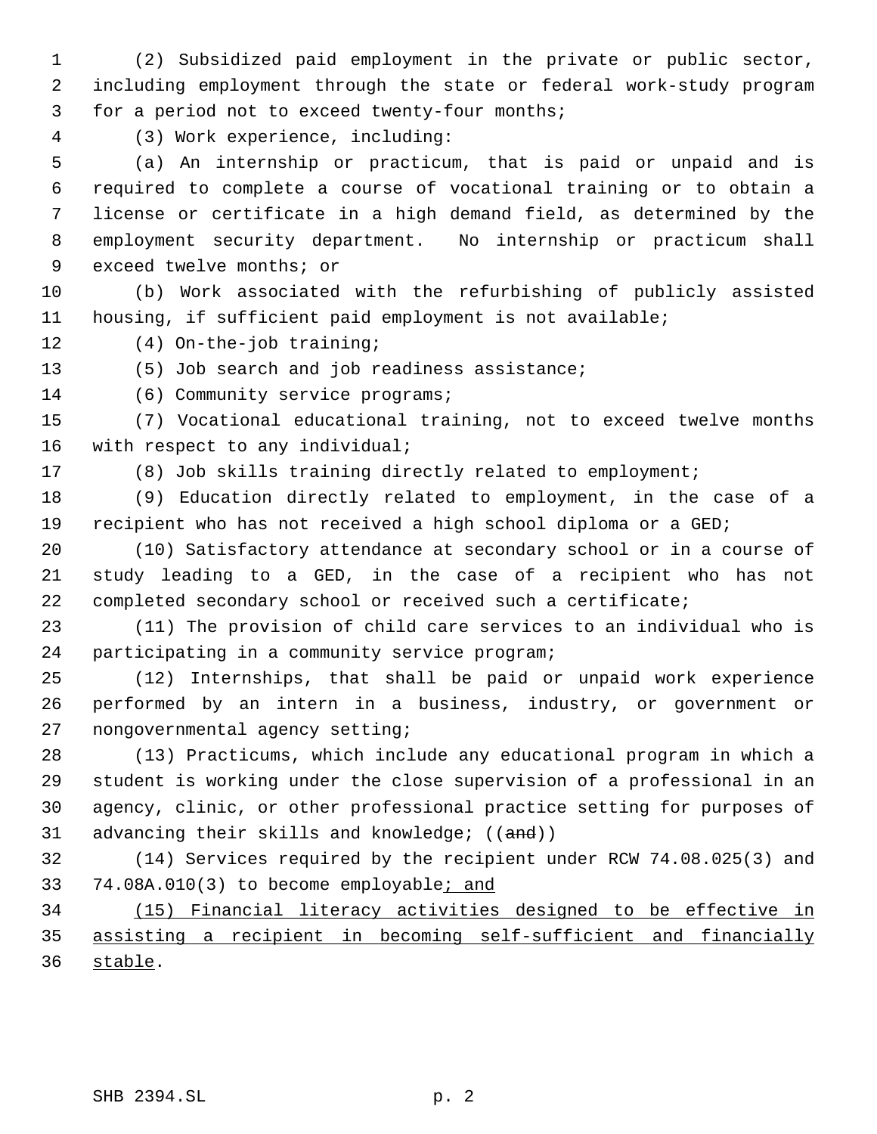(2) Subsidized paid employment in the private or public sector, including employment through the state or federal work-study program for a period not to exceed twenty-four months;

(3) Work experience, including:

 (a) An internship or practicum, that is paid or unpaid and is required to complete a course of vocational training or to obtain a license or certificate in a high demand field, as determined by the employment security department. No internship or practicum shall exceed twelve months; or

 (b) Work associated with the refurbishing of publicly assisted housing, if sufficient paid employment is not available;

(4) On-the-job training;

13 (5) Job search and job readiness assistance;

14 (6) Community service programs;

 (7) Vocational educational training, not to exceed twelve months with respect to any individual;

(8) Job skills training directly related to employment;

 (9) Education directly related to employment, in the case of a recipient who has not received a high school diploma or a GED;

 (10) Satisfactory attendance at secondary school or in a course of study leading to a GED, in the case of a recipient who has not completed secondary school or received such a certificate;

 (11) The provision of child care services to an individual who is participating in a community service program;

 (12) Internships, that shall be paid or unpaid work experience performed by an intern in a business, industry, or government or nongovernmental agency setting;

 (13) Practicums, which include any educational program in which a student is working under the close supervision of a professional in an agency, clinic, or other professional practice setting for purposes of 31 advancing their skills and knowledge; ((and))

 (14) Services required by the recipient under RCW 74.08.025(3) and 33 74.08A.010(3) to become employable; and

 (15) Financial literacy activities designed to be effective in assisting a recipient in becoming self-sufficient and financially stable.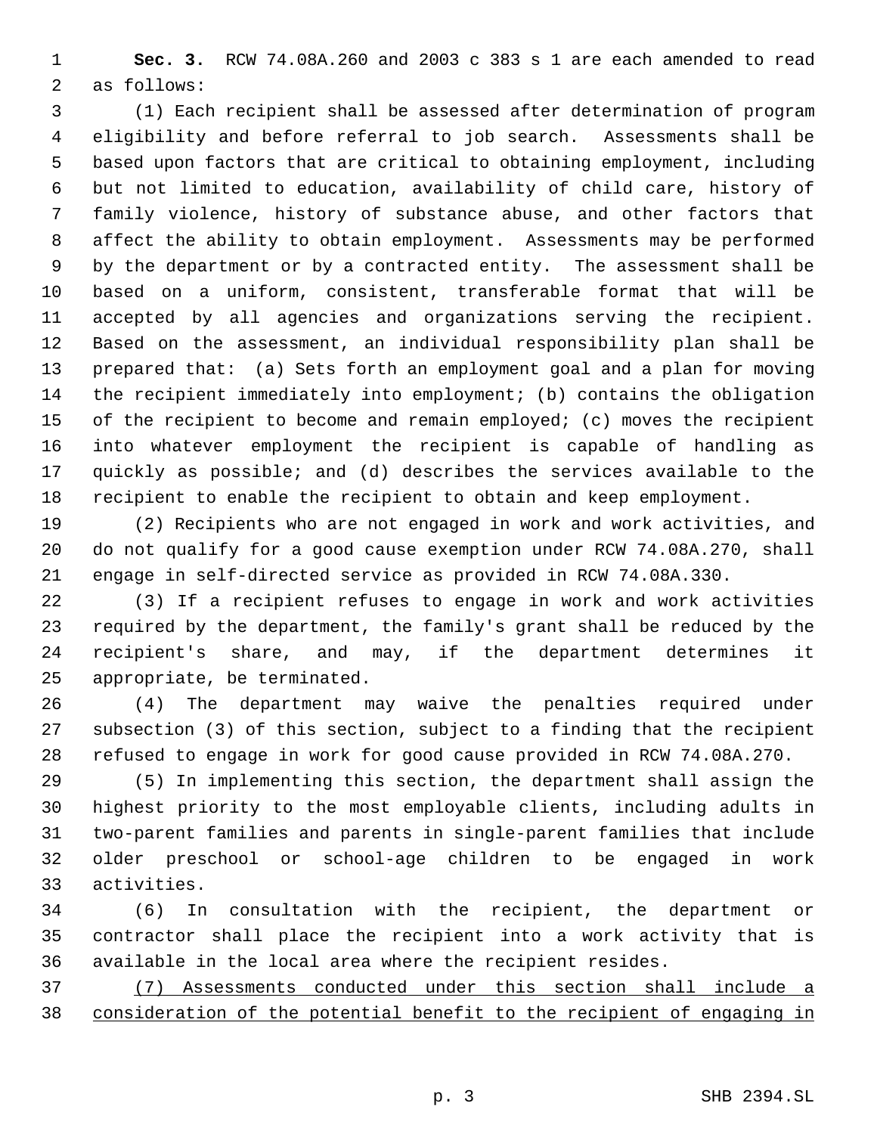**Sec. 3.** RCW 74.08A.260 and 2003 c 383 s 1 are each amended to read as follows:

 (1) Each recipient shall be assessed after determination of program eligibility and before referral to job search. Assessments shall be based upon factors that are critical to obtaining employment, including but not limited to education, availability of child care, history of family violence, history of substance abuse, and other factors that affect the ability to obtain employment. Assessments may be performed by the department or by a contracted entity. The assessment shall be based on a uniform, consistent, transferable format that will be accepted by all agencies and organizations serving the recipient. Based on the assessment, an individual responsibility plan shall be prepared that: (a) Sets forth an employment goal and a plan for moving the recipient immediately into employment; (b) contains the obligation 15 of the recipient to become and remain employed; (c) moves the recipient into whatever employment the recipient is capable of handling as quickly as possible; and (d) describes the services available to the recipient to enable the recipient to obtain and keep employment.

 (2) Recipients who are not engaged in work and work activities, and do not qualify for a good cause exemption under RCW 74.08A.270, shall engage in self-directed service as provided in RCW 74.08A.330.

 (3) If a recipient refuses to engage in work and work activities required by the department, the family's grant shall be reduced by the recipient's share, and may, if the department determines it appropriate, be terminated.

 (4) The department may waive the penalties required under subsection (3) of this section, subject to a finding that the recipient refused to engage in work for good cause provided in RCW 74.08A.270.

 (5) In implementing this section, the department shall assign the highest priority to the most employable clients, including adults in two-parent families and parents in single-parent families that include older preschool or school-age children to be engaged in work activities.

 (6) In consultation with the recipient, the department or contractor shall place the recipient into a work activity that is available in the local area where the recipient resides.

 (7) Assessments conducted under this section shall include a consideration of the potential benefit to the recipient of engaging in